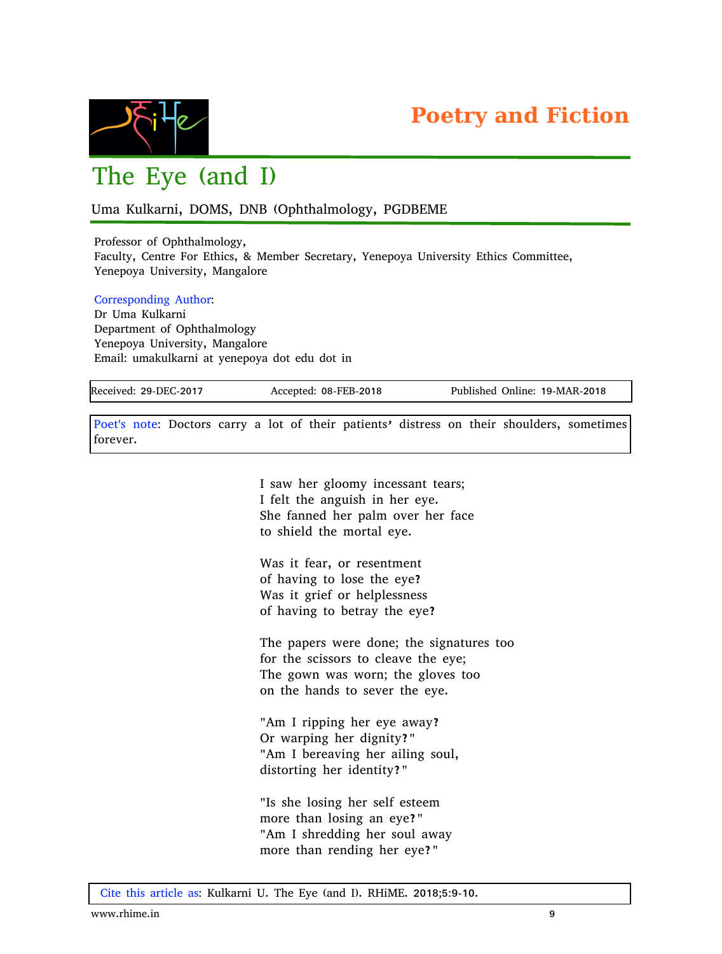

## The Eye (and I)

Uma Kulkarni, DOMS, DNB (Ophthalmology, PGDBEME

Professor of Ophthalmology, Faculty, Centre For Ethics, & Member Secretary, Yenepoya University Ethics Committee, Yenepoya University, Mangalore

Corresponding Author: Dr Uma Kulkarni Department of Ophthalmology Yenepoya University, Mangalore Email: umakulkarni at yenepoya dot edu dot in

Received: 29-DEC-2017 Accepted: 08-FEB-2018 Published Online: 19-MAR-2018

Poet's note: Doctors carry a lot of their patients' distress on their shoulders, sometimes forever.

> I saw her gloomy incessant tears; I felt the anguish in her eye. She fanned her palm over her face to shield the mortal eye.

Was it fear, or resentment of having to lose the eye? Was it grief or helplessness of having to betray the eye?

The papers were done; the signatures too for the scissors to cleave the eye; The gown was worn; the gloves too on the hands to sever the eye.

"Am I ripping her eye away? Or warping her dignity?" "Am I bereaving her ailing soul, distorting her identity?"

"Is she losing her self esteem more than losing an eye?" "Am I shredding her soul away more than rending her eye?"

Cite this article as: Kulkarni U. The Eye (and I). RHiME. 2018;5:9-10.